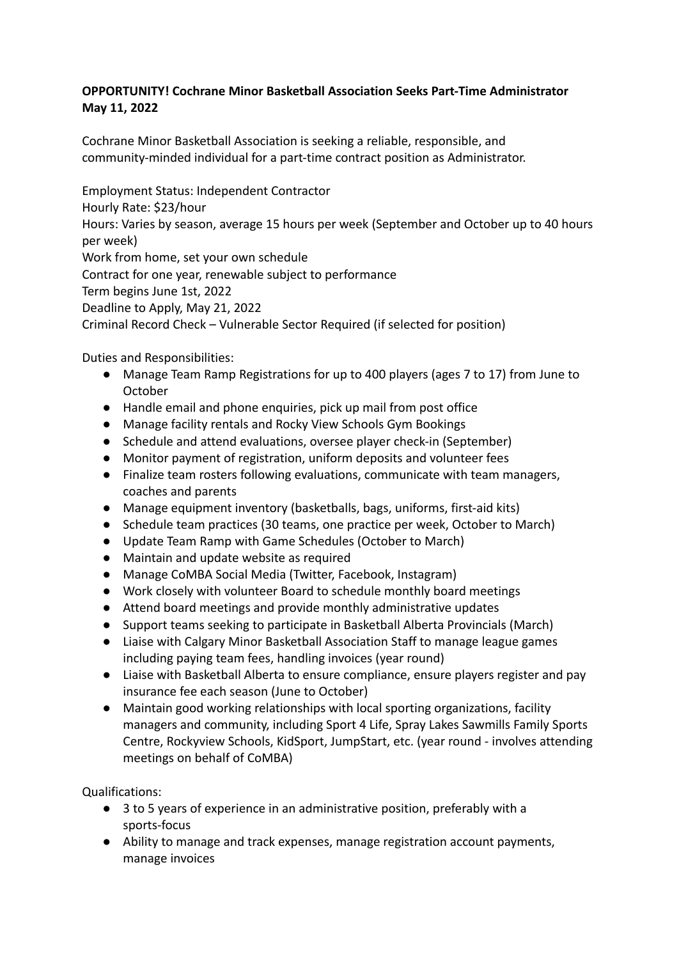## **OPPORTUNITY! Cochrane Minor Basketball Association Seeks Part-Time Administrator May 11, 2022**

Cochrane Minor Basketball Association is seeking a reliable, responsible, and community-minded individual for a part-time contract position as Administrator.

Employment Status: Independent Contractor Hourly Rate: \$23/hour Hours: Varies by season, average 15 hours per week (September and October up to 40 hours per week) Work from home, set your own schedule Contract for one year, renewable subject to performance Term begins June 1st, 2022 Deadline to Apply, May 21, 2022 Criminal Record Check – Vulnerable Sector Required (if selected for position)

Duties and Responsibilities:

- Manage Team Ramp Registrations for up to 400 players (ages 7 to 17) from June to October
- Handle email and phone enquiries, pick up mail from post office
- Manage facility rentals and Rocky View Schools Gym Bookings
- Schedule and attend evaluations, oversee player check-in (September)
- Monitor payment of registration, uniform deposits and volunteer fees
- Finalize team rosters following evaluations, communicate with team managers, coaches and parents
- Manage equipment inventory (basketballs, bags, uniforms, first-aid kits)
- Schedule team practices (30 teams, one practice per week, October to March)
- Update Team Ramp with Game Schedules (October to March)
- Maintain and update website as required
- Manage CoMBA Social Media (Twitter, Facebook, Instagram)
- Work closely with volunteer Board to schedule monthly board meetings
- Attend board meetings and provide monthly administrative updates
- Support teams seeking to participate in Basketball Alberta Provincials (March)
- Liaise with Calgary Minor Basketball Association Staff to manage league games including paying team fees, handling invoices (year round)
- Liaise with Basketball Alberta to ensure compliance, ensure players register and pay insurance fee each season (June to October)
- Maintain good working relationships with local sporting organizations, facility managers and community, including Sport 4 Life, Spray Lakes Sawmills Family Sports Centre, Rockyview Schools, KidSport, JumpStart, etc. (year round - involves attending meetings on behalf of CoMBA)

Qualifications:

- 3 to 5 years of experience in an administrative position, preferably with a sports-focus
- Ability to manage and track expenses, manage registration account payments, manage invoices